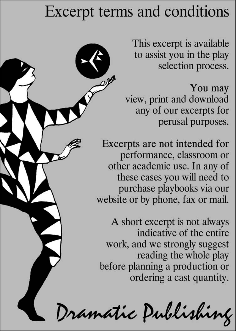## Excerpt terms and conditions

This excerpt is available. to assist you in the play selection process.

You may view, print and download any of our excerpts for perusal purposes.

Excerpts are not intended for performance, classroom or other academic use. In any of these cases you will need to purchase playbooks via our website or by phone, fax or mail.

A short excerpt is not always indicative of the entire work, and we strongly suggest reading the whole play before planning a production or ordering a cast quantity.

Dramatic Publishing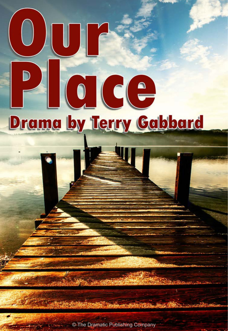# D CICE **Drama by Terry Gabbard**

© The Dramatic Publishing Company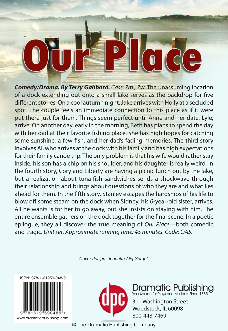*Comedy/Drama. By Terry Gabbard. Cast: 7m., 7w.* The unassuming location of a dock extending out onto a small lake serves as the backdrop for five different stories. On a cool autumn night, Jake arrives with Holly at a secluded spot. The couple feels an immediate connection to this place as if it were put there just for them. Things seem perfect until Anne and her date, Lyle, arrive. On another day, early in the morning, Beth has plans to spend the day with her dad at their favorite fishing place. She has high hopes for catching some sunshine, a few fish, and her dad's fading memories. The third story involves Al, who arrives at the dock with his family and has high expectations for their family canoe trip. The only problem is that his wife would rather stay inside, his son has a chip on his shoulder, and his daughter is really weird. In the fourth story, Cory and Liberty are having a picnic lunch out by the lake, but a realization about tuna-fish sandwiches sends a shockwave through their relationship and brings about questions of who they are and what lies ahead for them. In the fifth story, Stanley escapes the hardships of his life to blow off some steam on the dock when Sidney, his 6-year-old sister, arrives. All he wants is for her to go away, but she insists on staying with him. The entire ensemble gathers on the dock together for the final scene. In a poetic epilogue, they all discover the true meaning of *Our Place—*both comedic and tragic. *Unit set. Approximate running time: 45 minutes. Code: OA5.*

*Cover design: Jeanette Alig-Sergel.*





c Publishir Your Source for Plays and Musicals Since 1885

311 Washington Street ock, IL 60098

© The Dramatic Publishing Company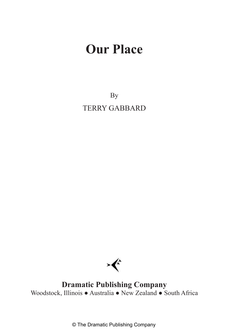By TERRY GABBARD



**Dramatic Publishing Company** Woodstock, Illinois ● Australia ● New Zealand ● South Africa

© The Dramatic Publishing Company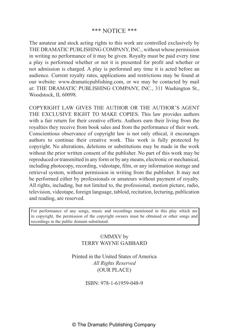#### \*\*\* NOTICE \*\*\*

The amateur and stock acting rights to this work are controlled exclusively by THE DRAMATIC PUBLISHING COMPANY, INC., without whose permission in writing no performance of it may be given. Royalty must be paid every time a play is performed whether or not it is presented for profit and whether or not admission is charged. A play is performed any time it is acted before an audience. Current royalty rates, applications and restrictions may be found at our website: www.dramaticpublishing.com, or we may be contacted by mail at: THE DRAMATIC PUBLISHING COMPANY, INC., 311 Washington St., Woodstock, IL 60098.

COPYRIGHT LAW GIVES THE AUTHOR OR THE AUTHOR'S AGENT THE EXCLUSIVE RIGHT TO MAKE COPIES. This law provides authors with a fair return for their creative efforts. Authors earn their living from the royalties they receive from book sales and from the performance of their work. Conscientious observance of copyright law is not only ethical, it encourages authors to continue their creative work. This work is fully protected by copyright. No alterations, deletions or substitutions may be made in the work without the prior written consent of the publisher. No part of this work may be reproduced or transmitted in any form or by any means, electronic or mechanical, including photocopy, recording, videotape, film, or any information storage and retrieval system, without permission in writing from the publisher. It may not be performed either by professionals or amateurs without payment of royalty. All rights, including, but not limited to, the professional, motion picture, radio, television, videotape, foreign language, tabloid, recitation, lecturing, publication and reading, are reserved.

For performance of any songs, music and recordings mentioned in this play which are in copyright, the permission of the copyright owners must be obtained or other songs and recordings in the public domain substituted.

#### ©MMXV by TERRY WAYNE GABBARD

Printed in the United States of America *All Rights Reserved* (OUR PLACE)

ISBN: 978-1-61959-048-9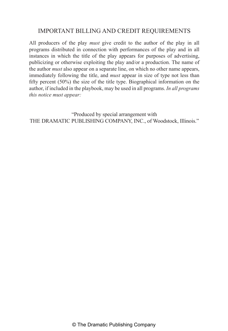### IMPORTANT BILLING AND CREDIT REQUIREMENTS

All producers of the play *must* give credit to the author of the play in all programs distributed in connection with performances of the play and in all instances in which the title of the play appears for purposes of advertising, publicizing or otherwise exploiting the play and/or a production. The name of the author *must* also appear on a separate line, on which no other name appears, immediately following the title, and *must* appear in size of type not less than fifty percent (50%) the size of the title type. Biographical information on the author, if included in the playbook, may be used in all programs. *In all programs this notice must appear:*

"Produced by special arrangement with THE DRAMATIC PUBLISHING COMPANY, INC., of Woodstock, Illinois."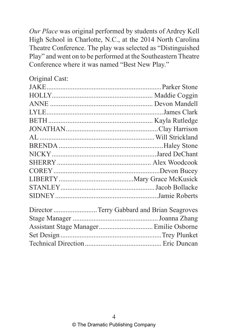*Our Place* was original performed by students of Ardrey Kell High School in Charlotte, N.C., at the 2014 North Carolina Theatre Conference. The play was selected as "Distinguished Play" and went on to be performed at the Southeastern Theatre Conference where it was named "Best New Play."

| Director  Terry Gabbard and Brian Seagroves |  |
|---------------------------------------------|--|
|                                             |  |
| Assistant Stage Manager Emilie Osborne      |  |
|                                             |  |
|                                             |  |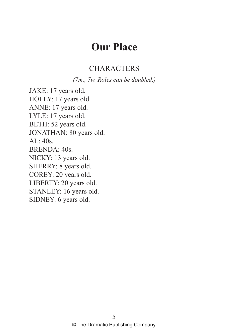## **CHARACTERS**

*(7m., 7w. Roles can be doubled.)*

JAKE: 17 years old. HOLLY: 17 years old. ANNE: 17 years old. LYLE: 17 years old. BETH: 52 years old. JONATHAN: 80 years old.  $AL: 40s$ . BRENDA: 40s. NICKY: 13 years old. SHERRY: 8 years old. COREY: 20 years old. LIBERTY: 20 years old. STANLEY: 16 years old. SIDNEY: 6 years old.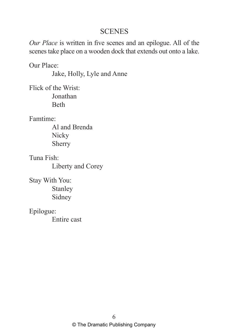## **SCENES**

*Our Place* is written in five scenes and an epilogue. All of the scenes take place on a wooden dock that extends out onto a lake.

Our Place:

Jake, Holly, Lyle and Anne

Flick of the Wrist: Jonathan Beth

Famtime:

Al and Brenda **Nicky** Sherry

Tuna Fish: Liberty and Corey

Stay With You: Stanley Sidney

Epilogue: Entire cast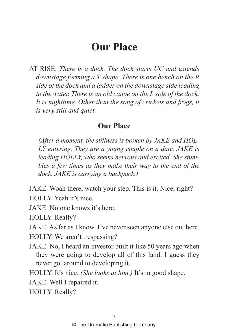AT RISE: *There is a dock. The dock starts UC and extends downstage forming a T shape. There is one bench on the R side of the dock and a ladder on the downstage side leading to the water. There is an old canoe on the L side of the dock. It is nighttime. Other than the song of crickets and frogs, it is very still and quiet.* 

## **Our Place**

*(After a moment, the stillness is broken by JAKE and HOL-LY entering. They are a young couple on a date. JAKE is leading HOLLY, who seems nervous and excited. She stumbles a few times as they make their way to the end of the dock. JAKE is carrying a backpack.)*

JAKE. Woah there, watch your step. This is it. Nice, right? HOLLY. Yeah it's nice.

JAKE. No one knows it's here.

HOLLY. Really?

JAKE. As far as I know. I've never seen anyone else out here.

HOLLY. We aren't trespassing?

JAKE. No, I heard an investor built it like 50 years ago when they were going to develop all of this land. I guess they never got around to developing it.

HOLLY. It's nice. *(She looks at him.)* It's in good shape.

JAKE. Well I repaired it.

HOLLY. Really?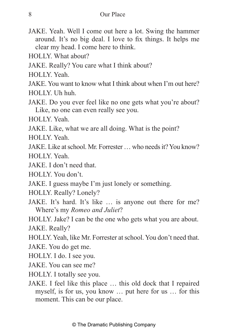- JAKE. Yeah. Well I come out here a lot. Swing the hammer around. It's no big deal. I love to fix things. It helps me clear my head. I come here to think.
- HOLLY. What about?
- JAKE. Really? You care what I think about?
- HOLLY. Yeah.
- JAKE. You want to know what I think about when I'm out here? HOLLY. Uh huh.
- JAKE. Do you ever feel like no one gets what you're about? Like, no one can even really see you.
- HOLLY. Yeah.
- JAKE. Like, what we are all doing. What is the point?

HOLLY. Yeah.

JAKE. Like at school. Mr. Forrester … who needs it? You know?

HOLLY. Yeah.

JAKE. I don't need that.

HOLLY. You don't.

- JAKE. I guess maybe I'm just lonely or something.
- HOLLY. Really? Lonely?
- JAKE. It's hard. It's like … is anyone out there for me? Where's my *Romeo and Juliet*?
- HOLLY. Jake? I can be the one who gets what you are about. JAKE. Really?
- HOLLY. Yeah, like Mr. Forrester at school. You don't need that.

JAKE. You do get me.

HOLLY. I do. I see you.

JAKE. You can see me?

- HOLLY. I totally see you.
- JAKE. I feel like this place … this old dock that I repaired myself, is for us, you know … put here for us … for this moment. This can be our place.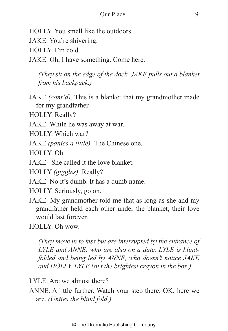- HOLLY. You smell like the outdoors.
- JAKE. You're shivering.
- HOLLY. I'm cold.

JAKE. Oh, I have something. Come here.

*(They sit on the edge of the dock. JAKE pulls out a blanket from his backpack.)*

JAKE *(cont'd)*. This is a blanket that my grandmother made for my grandfather.

HOLLY. Really?

JAKE. While he was away at war.

HOLLY. Which war?

JAKE *(panics a little).* The Chinese one.

HOLLY. Oh.

JAKE. She called it the love blanket.

HOLLY *(giggles).* Really?

JAKE. No it's dumb. It has a dumb name.

- HOLLY. Seriously, go on.
- JAKE. My grandmother told me that as long as she and my grandfather held each other under the blanket, their love would last forever.

HOLLY. Oh wow.

*(They move in to kiss but are interrupted by the entrance of LYLE and ANNE, who are also on a date. LYLE is blindfolded and being led by ANNE, who doesn't notice JAKE and HOLLY. LYLE isn't the brightest crayon in the box.)* 

LYLE. Are we almost there?

ANNE. A little further. Watch your step there. OK, here we are. *(Unties the blind fold.)*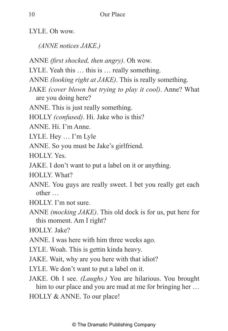LYLE. Oh wow.

*(ANNE notices JAKE.)* 

- ANNE *(first shocked, then angry)*. Oh wow.
- LYLE. Yeah this … this is … really something.
- ANNE *(looking right at JAKE)*. This is really something.
- JAKE *(cover blown but trying to play it cool)*. Anne? What are you doing here?
- ANNE. This is just really something.
- HOLLY *(confused)*. Hi. Jake who is this?
- ANNE. Hi. I'm Anne.
- LYLE. Hey … I'm Lyle
- ANNE. So you must be Jake's girlfriend.
- HOLLY. Yes.
- JAKE. I don't want to put a label on it or anything.
- HOLLY. What?
- ANNE. You guys are really sweet. I bet you really get each other …
- HOLLY. I'm not sure.
- ANNE *(mocking JAKE)*. This old dock is for us, put here for this moment. Am I right?
- HOLLY. Jake?
- ANNE. I was here with him three weeks ago.
- LYLE. Woah. This is gettin kinda heavy.
- JAKE. Wait, why are you here with that idiot?
- LYLE. We don't want to put a label on it.
- JAKE. Oh I see. *(Laughs.)* You are hilarious. You brought him to our place and you are mad at me for bringing her ... HOLLY & ANNE. To our place!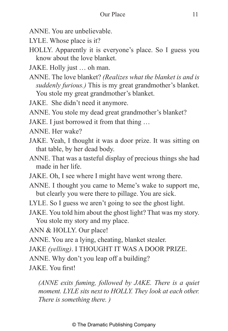- ANNE. You are unbelievable.
- LYLE. Whose place is it?
- HOLLY. Apparently it is everyone's place. So I guess you know about the love blanket.
- JAKE. Holly just … oh man.
- ANNE. The love blanket? *(Realizes what the blanket is and is suddenly furious.)* This is my great grandmother's blanket. You stole my great grandmother's blanket.
- JAKE. She didn't need it anymore.
- ANNE. You stole my dead great grandmother's blanket?
- JAKE. I just borrowed it from that thing …
- ANNE. Her wake?
- JAKE. Yeah, I thought it was a door prize. It was sitting on that table, by her dead body.
- ANNE. That was a tasteful display of precious things she had made in her life.
- JAKE. Oh, I see where I might have went wrong there.
- ANNE. I thought you came to Meme's wake to support me, but clearly you were there to pillage. You are sick.
- LYLE. So I guess we aren't going to see the ghost light.
- JAKE. You told him about the ghost light? That was my story. You stole my story and my place.
- ANN & HOLLY. Our place!
- ANNE. You are a lying, cheating, blanket stealer.
- JAKE *(yelling)*. I THOUGHT IT WAS A DOOR PRIZE.
- ANNE. Why don't you leap off a building?
- JAKE. You first!

*(ANNE exits fuming, followed by JAKE. There is a quiet moment. LYLE sits next to HOLLY. They look at each other. There is something there. )*